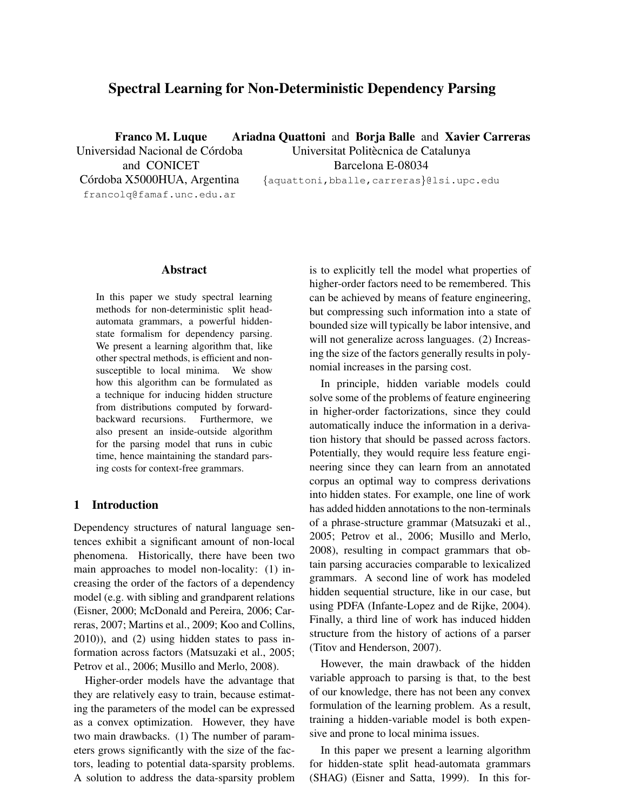# Spectral Learning for Non-Deterministic Dependency Parsing

Franco M. Luque Universidad Nacional de Córdoba Ariadna Quattoni and Borja Balle and Xavier Carreras

and CONICET Córdoba X5000HUA, Argentina francolq@famaf.unc.edu.ar

Universitat Politècnica de Catalunya Barcelona E-08034 {aquattoni,bballe,carreras}@lsi.upc.edu

# Abstract

In this paper we study spectral learning methods for non-deterministic split headautomata grammars, a powerful hiddenstate formalism for dependency parsing. We present a learning algorithm that, like other spectral methods, is efficient and nonsusceptible to local minima. We show how this algorithm can be formulated as a technique for inducing hidden structure from distributions computed by forwardbackward recursions. Furthermore, we also present an inside-outside algorithm for the parsing model that runs in cubic time, hence maintaining the standard parsing costs for context-free grammars.

#### 1 Introduction

Dependency structures of natural language sentences exhibit a significant amount of non-local phenomena. Historically, there have been two main approaches to model non-locality: (1) increasing the order of the factors of a dependency model (e.g. with sibling and grandparent relations (Eisner, 2000; McDonald and Pereira, 2006; Carreras, 2007; Martins et al., 2009; Koo and Collins, 2010)), and (2) using hidden states to pass information across factors (Matsuzaki et al., 2005; Petrov et al., 2006; Musillo and Merlo, 2008).

Higher-order models have the advantage that they are relatively easy to train, because estimating the parameters of the model can be expressed as a convex optimization. However, they have two main drawbacks. (1) The number of parameters grows significantly with the size of the factors, leading to potential data-sparsity problems. A solution to address the data-sparsity problem is to explicitly tell the model what properties of higher-order factors need to be remembered. This can be achieved by means of feature engineering, but compressing such information into a state of bounded size will typically be labor intensive, and will not generalize across languages. (2) Increasing the size of the factors generally results in polynomial increases in the parsing cost.

In principle, hidden variable models could solve some of the problems of feature engineering in higher-order factorizations, since they could automatically induce the information in a derivation history that should be passed across factors. Potentially, they would require less feature engineering since they can learn from an annotated corpus an optimal way to compress derivations into hidden states. For example, one line of work has added hidden annotations to the non-terminals of a phrase-structure grammar (Matsuzaki et al., 2005; Petrov et al., 2006; Musillo and Merlo, 2008), resulting in compact grammars that obtain parsing accuracies comparable to lexicalized grammars. A second line of work has modeled hidden sequential structure, like in our case, but using PDFA (Infante-Lopez and de Rijke, 2004). Finally, a third line of work has induced hidden structure from the history of actions of a parser (Titov and Henderson, 2007).

However, the main drawback of the hidden variable approach to parsing is that, to the best of our knowledge, there has not been any convex formulation of the learning problem. As a result, training a hidden-variable model is both expensive and prone to local minima issues.

In this paper we present a learning algorithm for hidden-state split head-automata grammars (SHAG) (Eisner and Satta, 1999). In this for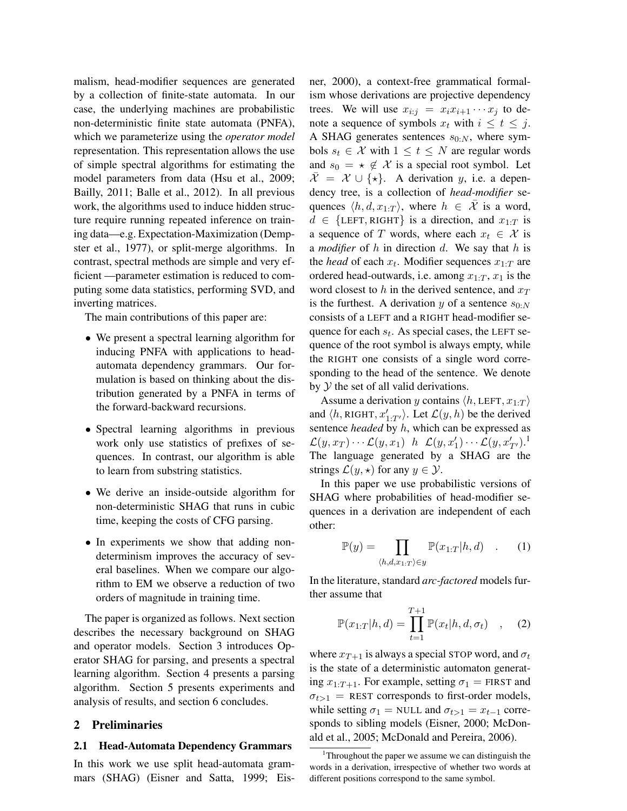malism, head-modifier sequences are generated by a collection of finite-state automata. In our case, the underlying machines are probabilistic non-deterministic finite state automata (PNFA), which we parameterize using the *operator model* representation. This representation allows the use of simple spectral algorithms for estimating the model parameters from data (Hsu et al., 2009; Bailly, 2011; Balle et al., 2012). In all previous work, the algorithms used to induce hidden structure require running repeated inference on training data—e.g. Expectation-Maximization (Dempster et al., 1977), or split-merge algorithms. In contrast, spectral methods are simple and very efficient —parameter estimation is reduced to computing some data statistics, performing SVD, and inverting matrices.

The main contributions of this paper are:

- We present a spectral learning algorithm for inducing PNFA with applications to headautomata dependency grammars. Our formulation is based on thinking about the distribution generated by a PNFA in terms of the forward-backward recursions.
- Spectral learning algorithms in previous work only use statistics of prefixes of sequences. In contrast, our algorithm is able to learn from substring statistics.
- We derive an inside-outside algorithm for non-deterministic SHAG that runs in cubic time, keeping the costs of CFG parsing.
- In experiments we show that adding nondeterminism improves the accuracy of several baselines. When we compare our algorithm to EM we observe a reduction of two orders of magnitude in training time.

The paper is organized as follows. Next section describes the necessary background on SHAG and operator models. Section 3 introduces Operator SHAG for parsing, and presents a spectral learning algorithm. Section 4 presents a parsing algorithm. Section 5 presents experiments and analysis of results, and section 6 concludes.

## 2 Preliminaries

#### 2.1 Head-Automata Dependency Grammars

In this work we use split head-automata grammars (SHAG) (Eisner and Satta, 1999; Eisner, 2000), a context-free grammatical formalism whose derivations are projective dependency trees. We will use  $x_{i:j} = x_i x_{i+1} \cdots x_j$  to denote a sequence of symbols  $x_t$  with  $i \leq t \leq j$ . A SHAG generates sentences  $s_{0:N}$ , where symbols  $s_t \in \mathcal{X}$  with  $1 \leq t \leq N$  are regular words and  $s_0 = \star \notin \mathcal{X}$  is a special root symbol. Let  $\overline{\mathcal{X}} = \mathcal{X} \cup \{ \star \}.$  A derivation y, i.e. a dependency tree, is a collection of *head-modifier* sequences  $\langle h, d, x_{1:T} \rangle$ , where  $h \in \overline{\mathcal{X}}$  is a word,  $d \in \{LEFT, RIGHT\}$  is a direction, and  $x_{1:T}$  is a sequence of T words, where each  $x_t \in \mathcal{X}$  is a *modifier* of h in direction d. We say that h is the *head* of each  $x_t$ . Modifier sequences  $x_{1:T}$  are ordered head-outwards, i.e. among  $x_{1:T}$ ,  $x_1$  is the word closest to h in the derived sentence, and  $x_T$ is the furthest. A derivation y of a sentence  $s_{0:N}$ consists of a LEFT and a RIGHT head-modifier sequence for each  $s_t$ . As special cases, the LEFT sequence of the root symbol is always empty, while the RIGHT one consists of a single word corresponding to the head of the sentence. We denote by  $Y$  the set of all valid derivations.

Assume a derivation y contains  $\langle h, \text{LEFT}, x_{1:T} \rangle$ and  $\langle h, \text{RIGHT}, x'_{1:T'} \rangle$ . Let  $\mathcal{L}(y, h)$  be the derived sentence *headed* by h, which can be expressed as  $\mathcal{L}(y,x_T)\cdots\mathcal{L}(y,x_1)$  h  $\mathcal{L}(y,x_1')\cdots\mathcal{L}(y,x_{T'}')$ .<sup>1</sup> The language generated by a SHAG are the strings  $\mathcal{L}(y, \star)$  for any  $y \in \mathcal{Y}$ .

In this paper we use probabilistic versions of SHAG where probabilities of head-modifier sequences in a derivation are independent of each other:

$$
\mathbb{P}(y) = \prod_{\langle h, d, x_{1:T} \rangle \in y} \mathbb{P}(x_{1:T}|h, d) \quad . \tag{1}
$$

In the literature, standard *arc-factored* models further assume that

$$
\mathbb{P}(x_{1:T}|h,d) = \prod_{t=1}^{T+1} \mathbb{P}(x_t|h,d,\sigma_t) \quad , \quad (2)
$$

where  $x_{T+1}$  is always a special STOP word, and  $\sigma_t$ is the state of a deterministic automaton generating  $x_{1:T+1}$ . For example, setting  $\sigma_1$  = FIRST and  $\sigma_{t>1}$  = REST corresponds to first-order models, while setting  $\sigma_1$  = NULL and  $\sigma_{t>1} = x_{t-1}$  corresponds to sibling models (Eisner, 2000; McDonald et al., 2005; McDonald and Pereira, 2006).

<sup>&</sup>lt;sup>1</sup>Throughout the paper we assume we can distinguish the words in a derivation, irrespective of whether two words at different positions correspond to the same symbol.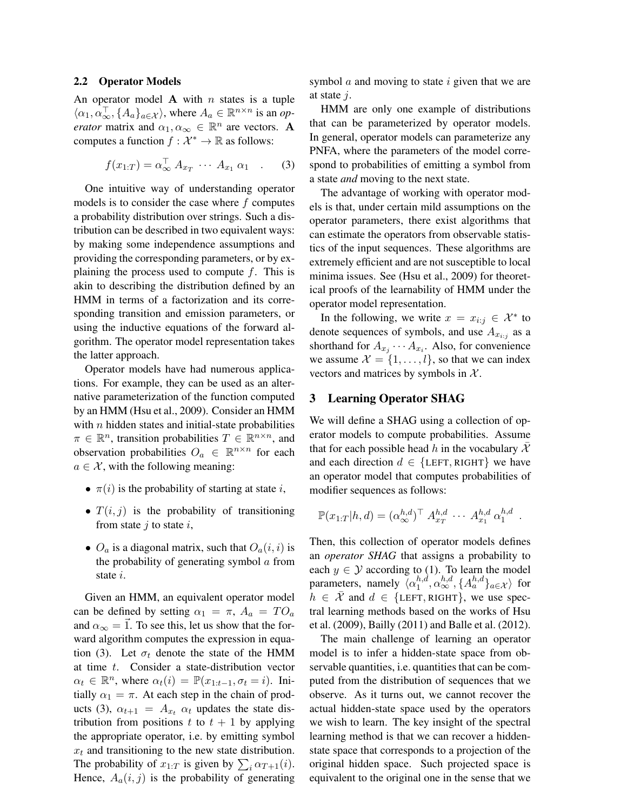#### 2.2 Operator Models

An operator model A with  $n$  states is a tuple  $\langle \alpha_1, \alpha_\infty^\top, \{A_a\}_{a \in \mathcal{X}} \rangle$ , where  $A_a \in \mathbb{R}^{n \times n}$  is an *operator* matrix and  $\alpha_1, \alpha_\infty \in \mathbb{R}^n$  are vectors. **A** computes a function  $f: \mathcal{X}^* \to \mathbb{R}$  as follows:

$$
f(x_{1:T}) = \alpha_{\infty}^{\top} A_{x_T} \cdots A_{x_1} \alpha_1 \quad . \tag{3}
$$

One intuitive way of understanding operator models is to consider the case where  $f$  computes a probability distribution over strings. Such a distribution can be described in two equivalent ways: by making some independence assumptions and providing the corresponding parameters, or by explaining the process used to compute  $f$ . This is akin to describing the distribution defined by an HMM in terms of a factorization and its corresponding transition and emission parameters, or using the inductive equations of the forward algorithm. The operator model representation takes the latter approach.

Operator models have had numerous applications. For example, they can be used as an alternative parameterization of the function computed by an HMM (Hsu et al., 2009). Consider an HMM with  $n$  hidden states and initial-state probabilities  $\pi \in \mathbb{R}^n$ , transition probabilities  $T \in \mathbb{R}^{n \times n}$ , and observation probabilities  $O_a \in \mathbb{R}^{n \times n}$  for each  $a \in \mathcal{X}$ , with the following meaning:

- $\pi(i)$  is the probability of starting at state i,
- $T(i, j)$  is the probability of transitioning from state  $i$  to state  $i$ ,
- $O_a$  is a diagonal matrix, such that  $O_a(i, i)$  is the probability of generating symbol  $\alpha$  from state *i*.

Given an HMM, an equivalent operator model can be defined by setting  $\alpha_1 = \pi$ ,  $A_a = TO_a$ and  $\alpha_{\infty} = \vec{1}$ . To see this, let us show that the forward algorithm computes the expression in equation (3). Let  $\sigma_t$  denote the state of the HMM at time t. Consider a state-distribution vector  $\alpha_t \in \mathbb{R}^n$ , where  $\alpha_t(i) = \mathbb{P}(x_{1:t-1}, \sigma_t = i)$ . Initially  $\alpha_1 = \pi$ . At each step in the chain of products (3),  $\alpha_{t+1} = A_{x_t} \alpha_t$  updates the state distribution from positions t to  $t + 1$  by applying the appropriate operator, i.e. by emitting symbol  $x_t$  and transitioning to the new state distribution. The probability of  $x_{1:T}$  is given by  $\sum_i \alpha_{T+1}(i)$ . Hence,  $A_a(i, j)$  is the probability of generating symbol  $\alpha$  and moving to state  $i$  given that we are at state  $j$ .

HMM are only one example of distributions that can be parameterized by operator models. In general, operator models can parameterize any PNFA, where the parameters of the model correspond to probabilities of emitting a symbol from a state *and* moving to the next state.

The advantage of working with operator models is that, under certain mild assumptions on the operator parameters, there exist algorithms that can estimate the operators from observable statistics of the input sequences. These algorithms are extremely efficient and are not susceptible to local minima issues. See (Hsu et al., 2009) for theoretical proofs of the learnability of HMM under the operator model representation.

In the following, we write  $x = x_{i:j} \in \mathcal{X}^*$  to denote sequences of symbols, and use  $A_{x_{i:j}}$  as a shorthand for  $A_{x_j} \cdots A_{x_i}$ . Also, for convenience we assume  $\mathcal{X} = \{1, \ldots, l\}$ , so that we can index vectors and matrices by symbols in  $X$ .

## 3 Learning Operator SHAG

We will define a SHAG using a collection of operator models to compute probabilities. Assume that for each possible head h in the vocabulary  $\mathcal X$ and each direction  $d \in \{LEFT, RIGHT\}$  we have an operator model that computes probabilities of modifier sequences as follows:

$$
\mathbb{P}(x_{1:T}|h,d) = (\alpha_{\infty}^{h,d})^{\top} A_{x_T}^{h,d} \cdots A_{x_1}^{h,d} \alpha_1^{h,d}
$$

.

Then, this collection of operator models defines an *operator SHAG* that assigns a probability to each  $y \in Y$  according to (1). To learn the model parameters, namely  $\langle \alpha_1^{h,d} \rangle$  $_{1}^{h,d},\alpha_{\infty}^{h,d},\{A_{a}^{h,d}\}_{a\in\mathcal{X}}\rangle$  for  $h \in \overline{\mathcal{X}}$  and  $d \in \{LEFT, RIGHT\}$ , we use spectral learning methods based on the works of Hsu et al. (2009), Bailly (2011) and Balle et al. (2012).

The main challenge of learning an operator model is to infer a hidden-state space from observable quantities, i.e. quantities that can be computed from the distribution of sequences that we observe. As it turns out, we cannot recover the actual hidden-state space used by the operators we wish to learn. The key insight of the spectral learning method is that we can recover a hiddenstate space that corresponds to a projection of the original hidden space. Such projected space is equivalent to the original one in the sense that we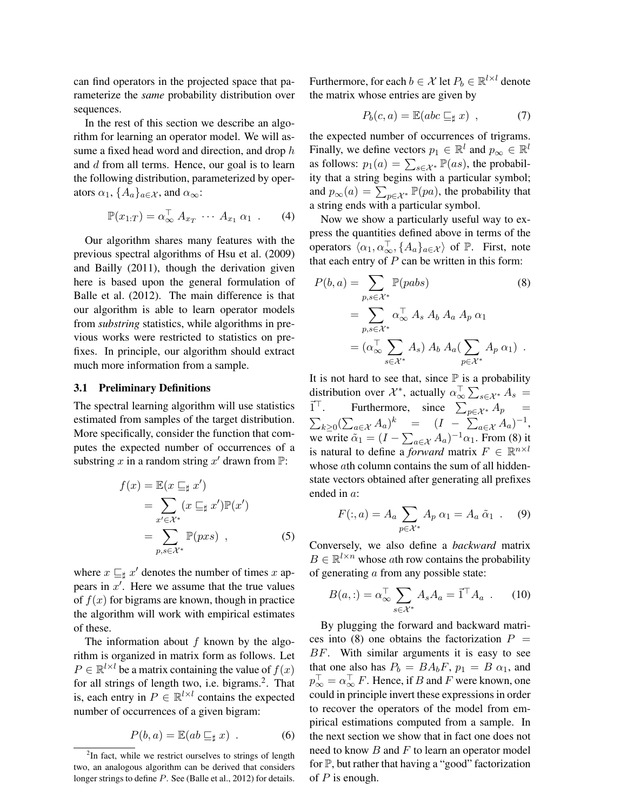can find operators in the projected space that parameterize the *same* probability distribution over sequences.

In the rest of this section we describe an algorithm for learning an operator model. We will assume a fixed head word and direction, and drop h and d from all terms. Hence, our goal is to learn the following distribution, parameterized by operators  $\alpha_1$ ,  $\{A_a\}_{a \in \mathcal{X}}$ , and  $\alpha_{\infty}$ :

$$
\mathbb{P}(x_{1:T}) = \alpha_{\infty}^{\top} A_{x_T} \cdots A_{x_1} \alpha_1 \ . \qquad (4)
$$

Our algorithm shares many features with the previous spectral algorithms of Hsu et al. (2009) and Bailly (2011), though the derivation given here is based upon the general formulation of Balle et al. (2012). The main difference is that our algorithm is able to learn operator models from *substring* statistics, while algorithms in previous works were restricted to statistics on prefixes. In principle, our algorithm should extract much more information from a sample.

#### 3.1 Preliminary Definitions

The spectral learning algorithm will use statistics estimated from samples of the target distribution. More specifically, consider the function that computes the expected number of occurrences of a substring x in a random string x' drawn from  $\mathbb{P}$ :

$$
f(x) = \mathbb{E}(x \sqsubseteq_{\sharp} x')
$$
  
= 
$$
\sum_{x' \in \mathcal{X}^*} (x \sqsubseteq_{\sharp} x') \mathbb{P}(x')
$$
  
= 
$$
\sum_{p,s \in \mathcal{X}^*} \mathbb{P}(pxs) , \qquad (5)
$$

where  $x \sqsubseteq_{\sharp} x'$  denotes the number of times x appears in  $x'$ . Here we assume that the true values of  $f(x)$  for bigrams are known, though in practice the algorithm will work with empirical estimates of these.

The information about  $f$  known by the algorithm is organized in matrix form as follows. Let  $P \in \mathbb{R}^{l \times l}$  be a matrix containing the value of  $f(x)$ for all strings of length two, i.e. bigrams.<sup>2</sup>. That is, each entry in  $P \in \mathbb{R}^{l \times l}$  contains the expected number of occurrences of a given bigram:

$$
P(b, a) = \mathbb{E}(ab \sqsubseteq_{\sharp} x) . \tag{6}
$$

Furthermore, for each  $b \in \mathcal{X}$  let  $P_b \in \mathbb{R}^{l \times l}$  denote the matrix whose entries are given by

$$
P_b(c, a) = \mathbb{E}(abc \sqsubseteq_{\sharp} x) , \qquad (7)
$$

the expected number of occurrences of trigrams. Finally, we define vectors  $p_1 \in \mathbb{R}^l$  and  $p_\infty \in \mathbb{R}^l$ as follows:  $p_1(a) = \sum_{s \in \mathcal{X}^*} \mathbb{P}(as)$ , the probability that a string begins with a particular symbol; and  $p_{\infty}(a) = \sum_{p \in \mathcal{X}^*} \mathbb{P}(pa)$ , the probability that a string ends with a particular symbol.

Now we show a particularly useful way to express the quantities defined above in terms of the operators  $\langle \alpha_1, \alpha_\infty^{\top}, \{A_\alpha\}_{\alpha \in \mathcal{X}}\rangle$  of  $\mathbb{P}$ . First, note that each entry of  $P$  can be written in this form:

$$
P(b, a) = \sum_{p, s \in \mathcal{X}^*} \mathbb{P}(pabs)
$$
(8)  
= 
$$
\sum_{p, s \in \mathcal{X}^*} \alpha_{\infty}^{\top} A_s A_b A_a A_p \alpha_1
$$
  
= 
$$
(\alpha_{\infty}^{\top} \sum_{s \in \mathcal{X}^*} A_s) A_b A_a (\sum_{p \in \mathcal{X}^*} A_p \alpha_1).
$$

It is not hard to see that, since  $\mathbb P$  is a probability distribution over  $\mathcal{X}^*$ , actually  $\alpha_{\infty}^{\top} \sum_{s \in \mathcal{X}^*} A_s =$  $\vec{1}^{\top}$ . T. Furthermore, since  $\sum_{p \in \mathcal{X}^*} A_p =$  $\sum_{k\geq 0} (\sum_{a\in\mathcal{X}} A_a)^k$  =  $(I - \sum_{a\in\mathcal{X}} A_a)^{-1},$ we write  $\tilde{\alpha}_1 = (I - \sum_{a \in \mathcal{X}} A_a)^{-1} \alpha_1$ . From (8) it is natural to define a *forward* matrix  $F \in \mathbb{R}^{n \times l}$ whose *a*th column contains the sum of all hiddenstate vectors obtained after generating all prefixes ended in a:

$$
F(:,a) = A_a \sum_{p \in \mathcal{X}^*} A_p \alpha_1 = A_a \tilde{\alpha}_1 \quad . \quad (9)
$$

Conversely, we also define a *backward* matrix  $B \in \mathbb{R}^{l \times n}$  whose ath row contains the probability of generating a from any possible state:

$$
B(a,:)=\alpha_{\infty}^{\top}\sum_{s\in\mathcal{X}^*}A_sA_a=\vec{1}^{\top}A_a.
$$
 (10)

By plugging the forward and backward matrices into (8) one obtains the factorization  $P =$ BF. With similar arguments it is easy to see that one also has  $P_b = BA_bF$ ,  $p_1 = B\alpha_1$ , and  $p_{\infty}^{\top} = \alpha_{\infty}^{\top} F$ . Hence, if  $B$  and  $F$  were known, one could in principle invert these expressions in order to recover the operators of the model from empirical estimations computed from a sample. In the next section we show that in fact one does not need to know  $B$  and  $F$  to learn an operator model for  $\mathbb{P}$ , but rather that having a "good" factorization of  $P$  is enough.

<sup>&</sup>lt;sup>2</sup>In fact, while we restrict ourselves to strings of length two, an analogous algorithm can be derived that considers longer strings to define P. See (Balle et al., 2012) for details.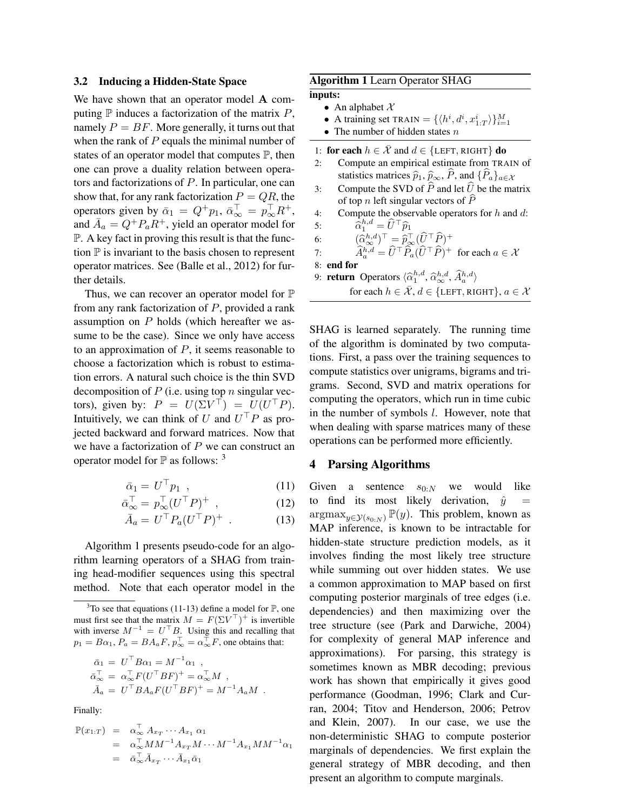#### 3.2 Inducing a Hidden-State Space

We have shown that an operator model A computing  $\mathbb P$  induces a factorization of the matrix  $P$ , namely  $P = BF$ . More generally, it turns out that when the rank of  $P$  equals the minimal number of states of an operator model that computes  $\mathbb{P}$ , then one can prove a duality relation between operators and factorizations of P. In particular, one can show that, for any rank factorization  $P = QR$ , the operators given by  $\bar{\alpha}_1 = Q^+ p_1$ ,  $\bar{\alpha}_{\infty}^{\perp} = p_{\infty}^{\perp} R^+$ , and  $\overline{A}_a = Q^+ P_a R^+$ , yield an operator model for P. A key fact in proving this result is that the function  $\mathbb P$  is invariant to the basis chosen to represent operator matrices. See (Balle et al., 2012) for further details.

Thus, we can recover an operator model for  $\mathbb P$ from any rank factorization of  $P$ , provided a rank assumption on P holds (which hereafter we assume to be the case). Since we only have access to an approximation of  $P$ , it seems reasonable to choose a factorization which is robust to estimation errors. A natural such choice is the thin SVD decomposition of  $P$  (i.e. using top n singular vectors), given by:  $P = U(\Sigma V^{\top}) = U(U^{\top} P)$ . Intuitively, we can think of U and  $U^{\top}P$  as projected backward and forward matrices. Now that we have a factorization of  $P$  we can construct an operator model for  $\mathbb P$  as follows:  $3$ 

$$
\bar{\alpha}_1 = U^\top p_1 \quad , \tag{11}
$$

$$
\bar{\alpha}_{\infty}^{\top} = p_{\infty}^{\top} (U^{\top} P)^{+} \quad , \tag{12}
$$

$$
\bar{A}_a = U^\top P_a (U^\top P)^+ \tag{13}
$$

Algorithm 1 presents pseudo-code for an algorithm learning operators of a SHAG from training head-modifier sequences using this spectral method. Note that each operator model in the

$$
\begin{aligned}\n\bar{\alpha}_1 &= U^{\top} B \alpha_1 = M^{-1} \alpha_1 , \\
\bar{\alpha}_{\infty}^{\top} &= \alpha_{\infty}^{\top} F(U^{\top} B F)^{+} = \alpha_{\infty}^{\top} M , \\
\bar{A}_a &= U^{\top} B A_a F(U^{\top} B F)^{+} = M^{-1} A_a M .\n\end{aligned}
$$

Finally:

$$
\mathbb{P}(x_{1:T}) = \alpha_{\infty}^{\top} A_{x_T} \cdots A_{x_1} \alpha_1
$$
  
=  $\alpha_{\infty}^{\top} M M^{-1} A_{x_T} M \cdots M^{-1} A_{x_1} M M^{-1} \alpha_1$   
=  $\bar{\alpha}_{\infty}^{\top} \bar{A}_{x_T} \cdots \bar{A}_{x_1} \bar{\alpha}_1$ 

### Algorithm 1 Learn Operator SHAG

inputs:

- An alphabet  $\mathcal X$
- A training set TRAIN =  $\{\langle h^i, d^i, x_{1:T}^i \rangle\}_{i=1}^M$
- The number of hidden states  $n$
- 1: for each  $h \in \overline{\mathcal{X}}$  and  $d \in \{\text{LEFT}, \text{RIGHT}\}\$  do
- 2: Compute an empirical estimate from TRAIN of statistics matrices  $\hat{p}_1$ ,  $\hat{p}_\infty$ ,  $\hat{P}$ , and  $\{\hat{P}_a\}_{a \in \mathcal{X}}$
- 3: Compute the SVD of  $\widehat{P}$  and let  $\widehat{U}$  be the matrix of top n left singular vectors of  $P$
- 4: Compute the observable operators for  $h$  and  $d$ : 5:  $\hat{\alpha}_1^{h,d} = \hat{U}^\top \hat{p}_1$

6:  $(\widehat{\alpha}_{\infty}^{h,d})^{\top} = \widehat{p}_{\infty}^{\top} (\widehat{U}^{\top} \widehat{P})^+$ 7:  $\widehat{A}_a^{h,d} = \widehat{U}^\top \widehat{P}_a (\widehat{U}^\top \widehat{P})^+ \text{ for each } a \in \mathcal{X}$ 

8: end for

9: **return** Operators  $\langle \hat{\alpha}_1^{h,d}, \hat{\alpha}_{\infty}^{h,d}, \hat{A}_a^{h,d} \rangle$ for each  $h \in \overline{\mathcal{X}}, d \in \{\text{LEFT}, \text{RIGHT}\}, a \in \mathcal{X}$ 

SHAG is learned separately. The running time of the algorithm is dominated by two computations. First, a pass over the training sequences to compute statistics over unigrams, bigrams and trigrams. Second, SVD and matrix operations for computing the operators, which run in time cubic in the number of symbols l. However, note that when dealing with sparse matrices many of these operations can be performed more efficiently.

#### 4 Parsing Algorithms

Given a sentence  $s_{0:N}$  we would like to find its most likely derivation,  $\hat{y}$  =  $\argmax_{y \in \mathcal{Y}(s_0, N)} \mathbb{P}(y)$ . This problem, known as MAP inference, is known to be intractable for hidden-state structure prediction models, as it involves finding the most likely tree structure while summing out over hidden states. We use a common approximation to MAP based on first computing posterior marginals of tree edges (i.e. dependencies) and then maximizing over the tree structure (see (Park and Darwiche, 2004) for complexity of general MAP inference and approximations). For parsing, this strategy is sometimes known as MBR decoding; previous work has shown that empirically it gives good performance (Goodman, 1996; Clark and Curran, 2004; Titov and Henderson, 2006; Petrov and Klein, 2007). In our case, we use the non-deterministic SHAG to compute posterior marginals of dependencies. We first explain the general strategy of MBR decoding, and then present an algorithm to compute marginals.

 $3$ To see that equations (11-13) define a model for  $\mathbb{P}$ , one must first see that the matrix  $M = F(\Sigma V^{\top})^+$  is invertible with inverse  $M^{-1} = U^{\top}B$ . Using this and recalling that  $p_1 = B\alpha_1$ ,  $P_a = BA_aF$ ,  $p_{\infty}^{\top} = \alpha_{\infty}^{\top}F$ , one obtains that: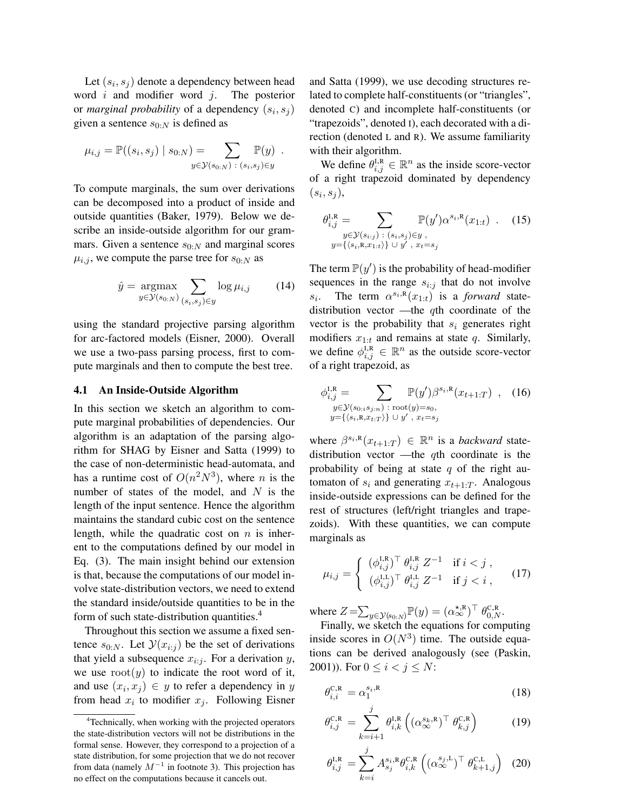Let  $(s_i, s_j)$  denote a dependency between head word  $i$  and modifier word  $j$ . The posterior or *marginal probability* of a dependency  $(s_i, s_j)$ given a sentence  $s_{0:N}$  is defined as

$$
\mu_{i,j} = \mathbb{P}((s_i, s_j) | s_{0:N}) = \sum_{y \in \mathcal{Y}(s_{0:N})} \mathbb{P}(y) .
$$

To compute marginals, the sum over derivations can be decomposed into a product of inside and outside quantities (Baker, 1979). Below we describe an inside-outside algorithm for our grammars. Given a sentence  $s_{0:N}$  and marginal scores  $\mu_{i,j}$ , we compute the parse tree for  $s_{0:N}$  as

$$
\hat{y} = \underset{y \in \mathcal{Y}(s_0, N)}{\operatorname{argmax}} \sum_{(s_i, s_j) \in y} \log \mu_{i,j} \tag{14}
$$

using the standard projective parsing algorithm for arc-factored models (Eisner, 2000). Overall we use a two-pass parsing process, first to compute marginals and then to compute the best tree.

#### 4.1 An Inside-Outside Algorithm

In this section we sketch an algorithm to compute marginal probabilities of dependencies. Our algorithm is an adaptation of the parsing algorithm for SHAG by Eisner and Satta (1999) to the case of non-deterministic head-automata, and has a runtime cost of  $O(n^2N^3)$ , where n is the number of states of the model, and  $N$  is the length of the input sentence. Hence the algorithm maintains the standard cubic cost on the sentence length, while the quadratic cost on  $n$  is inherent to the computations defined by our model in Eq. (3). The main insight behind our extension is that, because the computations of our model involve state-distribution vectors, we need to extend the standard inside/outside quantities to be in the form of such state-distribution quantities.<sup>4</sup>

Throughout this section we assume a fixed sentence  $s_{0:N}$ . Let  $\mathcal{Y}(x_{i:j})$  be the set of derivations that yield a subsequence  $x_{i:j}$ . For a derivation y, we use  $root(y)$  to indicate the root word of it, and use  $(x_i, x_j) \in y$  to refer a dependency in y from head  $x_i$  to modifier  $x_j$ . Following Eisner and Satta (1999), we use decoding structures related to complete half-constituents (or "triangles", denoted C) and incomplete half-constituents (or "trapezoids", denoted I), each decorated with a direction (denoted L and R). We assume familiarity with their algorithm.

We define  $\theta_{i,j}^{I,R} \in \mathbb{R}^n$  as the inside score-vector of a right trapezoid dominated by dependency  $(s_i, s_j),$ 

$$
\theta_{i,j}^{\mathrm{I,R}} = \sum_{\substack{y \in \mathcal{Y}(s_{i:j}) \; : \; (s_i, s_j) \in y, \\ y = \{ \langle s_i, \mathbf{R}, x_{1:t} \rangle \} \; \cup \; y', \; x_t = s_j}} \mathbb{P}(y') \alpha^{s_i, \mathrm{R}}(x_{1:t}) \; . \tag{15}
$$

The term  $\mathbb{P}(y')$  is the probability of head-modifier sequences in the range  $s_{i:j}$  that do not involve  $s_i$ . The term  $\alpha^{s_i, R}(x_{1:t})$  is a *forward* statedistribution vector —the qth coordinate of the vector is the probability that  $s_i$  generates right modifiers  $x_{1:t}$  and remains at state q. Similarly, we define  $\phi_{i,j}^{\text{I,R}} \in \mathbb{R}^n$  as the outside score-vector of a right trapezoid, as

$$
\phi_{i,j}^{l,R} = \sum_{\substack{y \in \mathcal{Y}(s_{0:i}s_{j:n}) \; : \; \text{root}(y) = s_0, \\ y = \{\langle s_i, \mathbf{R}, x_{t:T} \rangle\} \cup y', \; x_t = s_j}} \mathbb{P}(y') \beta^{s_i, \mathbf{R}}(x_{t+1:T}) \quad , \quad (16)
$$

where  $\beta^{s_i, R}(x_{t+1:T}) \in \mathbb{R}^n$  is a *backward* statedistribution vector —the qth coordinate is the probability of being at state  $q$  of the right automaton of  $s_i$  and generating  $x_{t+1:T}$ . Analogous inside-outside expressions can be defined for the rest of structures (left/right triangles and trapezoids). With these quantities, we can compute marginals as

$$
\mu_{i,j} = \begin{cases} (\phi_{i,j}^{\text{I,R}})^{\top} \ \theta_{i,j}^{\text{I,R}} \ Z^{-1} & \text{if } i < j \\ (\phi_{i,j}^{\text{I,L}})^{\top} \ \theta_{i,j}^{\text{I,L}} \ Z^{-1} & \text{if } j < i \end{cases} \tag{17}
$$

where  $Z = \sum_{y \in \mathcal{Y}(s_0, N)} \mathbb{P}(y) = (\alpha_{\infty}^{*, R})^{\top} \theta_{0, N}^{C, R}$ .

Finally, we sketch the equations for computing inside scores in  $O(N^3)$  time. The outside equations can be derived analogously (see (Paskin, 2001)). For  $0 \le i < j \le N$ :

$$
\theta_{i,i}^{\mathcal{C},\mathcal{R}} = \alpha_1^{s_i,\mathcal{R}} \tag{18}
$$

$$
\theta_{i,j}^{\text{C,R}} = \sum_{k=i+1}^{j} \theta_{i,k}^{\text{I,R}} \left( (\alpha_{\infty}^{s_k, \text{R}})^{\top} \theta_{k,j}^{\text{C,R}} \right) \tag{19}
$$

$$
\theta_{i,j}^{\mathrm{I,R}} = \sum_{k=i}^{j} A_{s_j}^{s_i,\mathrm{R}} \theta_{i,k}^{\mathrm{C,R}} \left( (\alpha_{\infty}^{s_j,\mathrm{L}})^{\top} \theta_{k+1,j}^{\mathrm{C,L}} \right) (20)
$$

<sup>&</sup>lt;sup>4</sup>Technically, when working with the projected operators the state-distribution vectors will not be distributions in the formal sense. However, they correspond to a projection of a state distribution, for some projection that we do not recover from data (namely  $M^{-1}$  in footnote 3). This projection has no effect on the computations because it cancels out.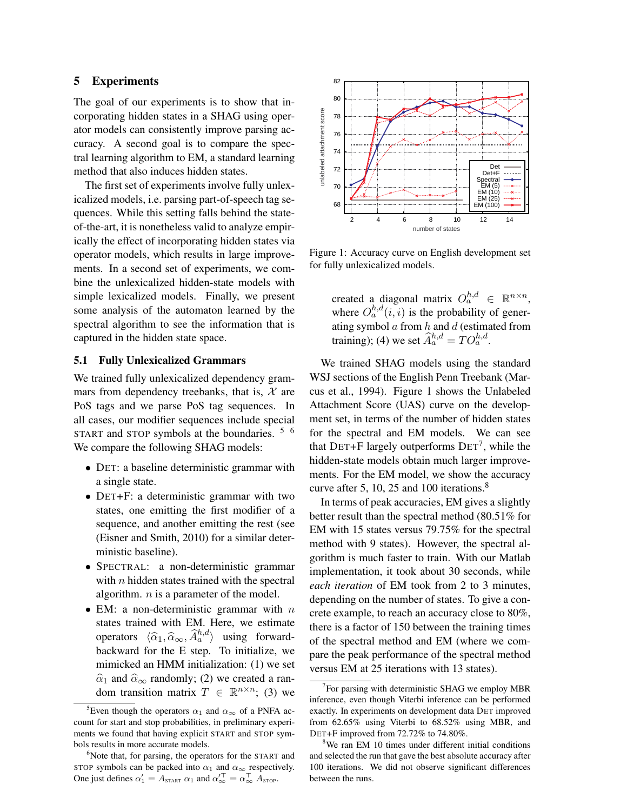## 5 Experiments

The goal of our experiments is to show that incorporating hidden states in a SHAG using operator models can consistently improve parsing accuracy. A second goal is to compare the spectral learning algorithm to EM, a standard learning method that also induces hidden states.

The first set of experiments involve fully unlexicalized models, i.e. parsing part-of-speech tag sequences. While this setting falls behind the stateof-the-art, it is nonetheless valid to analyze empirically the effect of incorporating hidden states via operator models, which results in large improvements. In a second set of experiments, we combine the unlexicalized hidden-state models with simple lexicalized models. Finally, we present some analysis of the automaton learned by the spectral algorithm to see the information that is captured in the hidden state space.

# 5.1 Fully Unlexicalized Grammars

We trained fully unlexicalized dependency grammars from dependency treebanks, that is,  $\mathcal{X}$  are PoS tags and we parse PoS tag sequences. In all cases, our modifier sequences include special START and STOP symbols at the boundaries. <sup>5 6</sup> We compare the following SHAG models:

- DET: a baseline deterministic grammar with a single state.
- DET+F: a deterministic grammar with two states, one emitting the first modifier of a sequence, and another emitting the rest (see (Eisner and Smith, 2010) for a similar deterministic baseline).
- SPECTRAL: a non-deterministic grammar with  $n$  hidden states trained with the spectral algorithm.  $n$  is a parameter of the model.
- EM: a non-deterministic grammar with  $n$ states trained with EM. Here, we estimate operators  $\langle \hat{\alpha}_1, \hat{\alpha}_\infty, \hat{A}_a^{h,d} \rangle$  using forward-<br>heckward for the E stap. To initialize we backward for the E step. To initialize, we mimicked an HMM initialization: (1) we set  $\hat{\alpha}_1$  and  $\hat{\alpha}_{\infty}$  randomly; (2) we created a random transition matrix  $T \in \mathbb{R}^{n \times n}$ ; (3) we



Figure 1: Accuracy curve on English development set for fully unlexicalized models.

created a diagonal matrix  $O_a^{h,d} \in \mathbb{R}^{n \times n}$ , where  $O_a^{h,d}(i,i)$  is the probability of generating symbol  $a$  from  $h$  and  $d$  (estimated from training); (4) we set  $\widehat{A}_a^{h,d} = TO_a^{h,d}$ .

We trained SHAG models using the standard WSJ sections of the English Penn Treebank (Marcus et al., 1994). Figure 1 shows the Unlabeled Attachment Score (UAS) curve on the development set, in terms of the number of hidden states for the spectral and EM models. We can see that DET+F largely outperforms  $DET^7$ , while the hidden-state models obtain much larger improvements. For the EM model, we show the accuracy curve after 5, 10, 25 and 100 iterations.<sup>8</sup>

In terms of peak accuracies, EM gives a slightly better result than the spectral method (80.51% for EM with 15 states versus 79.75% for the spectral method with 9 states). However, the spectral algorithm is much faster to train. With our Matlab implementation, it took about 30 seconds, while *each iteration* of EM took from 2 to 3 minutes, depending on the number of states. To give a concrete example, to reach an accuracy close to 80%, there is a factor of 150 between the training times of the spectral method and EM (where we compare the peak performance of the spectral method versus EM at 25 iterations with 13 states).

<sup>&</sup>lt;sup>5</sup>Even though the operators  $\alpha_1$  and  $\alpha_\infty$  of a PNFA account for start and stop probabilities, in preliminary experiments we found that having explicit START and STOP symbols results in more accurate models.

 $6$ Note that, for parsing, the operators for the START and STOP symbols can be packed into  $\alpha_1$  and  $\alpha_\infty$  respectively. One just defines  $\alpha'_1 = A_{\text{START}} \alpha_1$  and  $\alpha'^\top_{\infty} = \alpha^{\top}_{\infty} A_{\text{STOP}}$ .

 $7$ For parsing with deterministic SHAG we employ MBR inference, even though Viterbi inference can be performed exactly. In experiments on development data DET improved from 62.65% using Viterbi to 68.52% using MBR, and DET+F improved from 72.72% to 74.80%.

<sup>&</sup>lt;sup>8</sup>We ran EM 10 times under different initial conditions and selected the run that gave the best absolute accuracy after 100 iterations. We did not observe significant differences between the runs.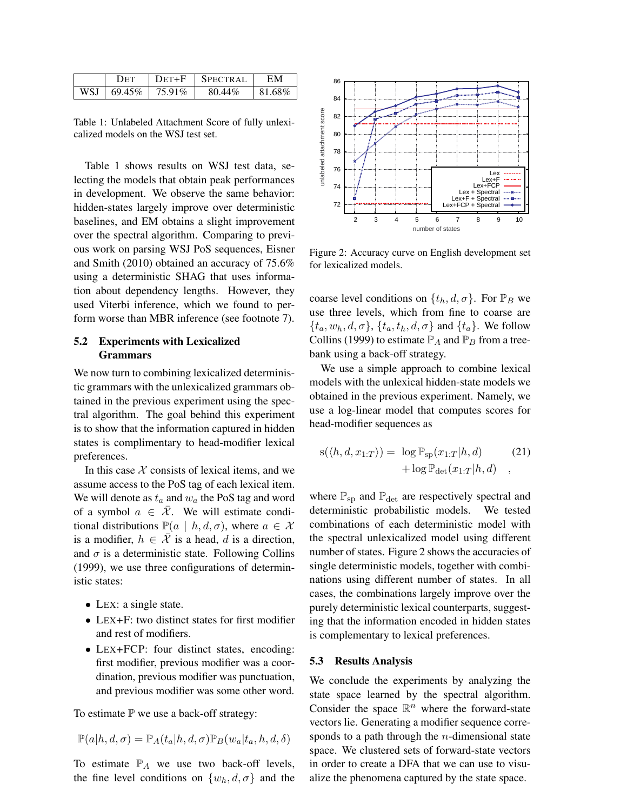|         | Det        | $DFT + F$ | $\perp$ SPECTRAL | ЕM     |
|---------|------------|-----------|------------------|--------|
| $WSJ +$ | $+69.45\%$ | 75.91%    | 80.44%           | 81.68% |

Table 1: Unlabeled Attachment Score of fully unlexicalized models on the WSJ test set.

Table 1 shows results on WSJ test data, selecting the models that obtain peak performances in development. We observe the same behavior: hidden-states largely improve over deterministic baselines, and EM obtains a slight improvement over the spectral algorithm. Comparing to previous work on parsing WSJ PoS sequences, Eisner and Smith (2010) obtained an accuracy of 75.6% using a deterministic SHAG that uses information about dependency lengths. However, they used Viterbi inference, which we found to perform worse than MBR inference (see footnote 7).

# 5.2 Experiments with Lexicalized Grammars

We now turn to combining lexicalized deterministic grammars with the unlexicalized grammars obtained in the previous experiment using the spectral algorithm. The goal behind this experiment is to show that the information captured in hidden states is complimentary to head-modifier lexical preferences.

In this case  $X$  consists of lexical items, and we assume access to the PoS tag of each lexical item. We will denote as  $t_a$  and  $w_a$  the PoS tag and word of a symbol  $a \in \overline{\mathcal{X}}$ . We will estimate conditional distributions  $\mathbb{P}(a | h, d, \sigma)$ , where  $a \in \mathcal{X}$ is a modifier,  $h \in \overline{X}$  is a head, d is a direction, and  $\sigma$  is a deterministic state. Following Collins (1999), we use three configurations of deterministic states:

- LEX: a single state.
- LEX+F: two distinct states for first modifier and rest of modifiers.
- LEX+FCP: four distinct states, encoding: first modifier, previous modifier was a coordination, previous modifier was punctuation, and previous modifier was some other word.

To estimate  $P$  we use a back-off strategy:

$$
\mathbb{P}(a|h,d,\sigma)=\mathbb{P}_A(t_a|h,d,\sigma)\mathbb{P}_B(w_a|t_a,h,d,\delta)
$$

To estimate  $\mathbb{P}_A$  we use two back-off levels, the fine level conditions on  $\{w_h, d, \sigma\}$  and the



Figure 2: Accuracy curve on English development set for lexicalized models.

coarse level conditions on  $\{t_h, d, \sigma\}$ . For  $\mathbb{P}_B$  we use three levels, which from fine to coarse are  $\{t_a, w_h, d, \sigma\}$ ,  $\{t_a, t_h, d, \sigma\}$  and  $\{t_a\}$ . We follow Collins (1999) to estimate  $\mathbb{P}_A$  and  $\mathbb{P}_B$  from a treebank using a back-off strategy.

We use a simple approach to combine lexical models with the unlexical hidden-state models we obtained in the previous experiment. Namely, we use a log-linear model that computes scores for head-modifier sequences as

$$
s(\langle h, d, x_{1:T} \rangle) = \log \mathbb{P}_{sp}(x_{1:T}|h, d)
$$
  
+ 
$$
\log \mathbb{P}_{det}(x_{1:T}|h, d)
$$
 (21)

where  $\mathbb{P}_{\text{sp}}$  and  $\mathbb{P}_{\text{det}}$  are respectively spectral and deterministic probabilistic models. We tested combinations of each deterministic model with the spectral unlexicalized model using different number of states. Figure 2 shows the accuracies of single deterministic models, together with combinations using different number of states. In all cases, the combinations largely improve over the purely deterministic lexical counterparts, suggesting that the information encoded in hidden states is complementary to lexical preferences.

#### 5.3 Results Analysis

We conclude the experiments by analyzing the state space learned by the spectral algorithm. Consider the space  $\mathbb{R}^n$  where the forward-state vectors lie. Generating a modifier sequence corresponds to a path through the  $n$ -dimensional state space. We clustered sets of forward-state vectors in order to create a DFA that we can use to visualize the phenomena captured by the state space.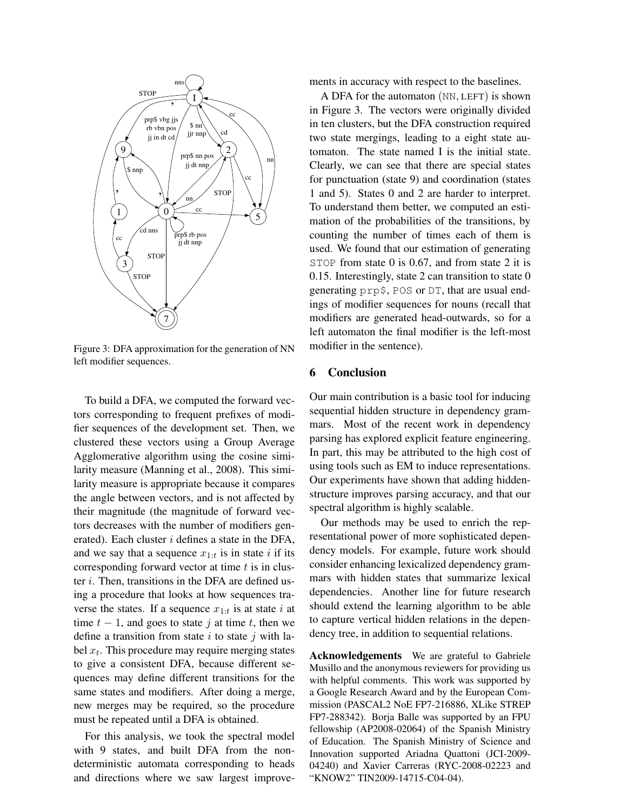

Figure 3: DFA approximation for the generation of NN left modifier sequences.

To build a DFA, we computed the forward vectors corresponding to frequent prefixes of modifier sequences of the development set. Then, we clustered these vectors using a Group Average Agglomerative algorithm using the cosine similarity measure (Manning et al., 2008). This similarity measure is appropriate because it compares the angle between vectors, and is not affected by their magnitude (the magnitude of forward vectors decreases with the number of modifiers generated). Each cluster  $i$  defines a state in the DFA, and we say that a sequence  $x_{1:t}$  is in state i if its corresponding forward vector at time  $t$  is in cluster i. Then, transitions in the DFA are defined using a procedure that looks at how sequences traverse the states. If a sequence  $x_{1:t}$  is at state i at time  $t - 1$ , and goes to state j at time t, then we define a transition from state i to state j with label  $x_t$ . This procedure may require merging states to give a consistent DFA, because different sequences may define different transitions for the same states and modifiers. After doing a merge, new merges may be required, so the procedure must be repeated until a DFA is obtained.

For this analysis, we took the spectral model with 9 states, and built DFA from the nondeterministic automata corresponding to heads and directions where we saw largest improvements in accuracy with respect to the baselines.

A DFA for the automaton (NN, LEFT) is shown in Figure 3. The vectors were originally divided in ten clusters, but the DFA construction required two state mergings, leading to a eight state automaton. The state named I is the initial state. Clearly, we can see that there are special states for punctuation (state 9) and coordination (states 1 and 5). States 0 and 2 are harder to interpret. To understand them better, we computed an estimation of the probabilities of the transitions, by counting the number of times each of them is used. We found that our estimation of generating STOP from state 0 is 0.67, and from state 2 it is 0.15. Interestingly, state 2 can transition to state 0 generating prp\$, POS or DT, that are usual endings of modifier sequences for nouns (recall that modifiers are generated head-outwards, so for a left automaton the final modifier is the left-most modifier in the sentence).

### 6 Conclusion

Our main contribution is a basic tool for inducing sequential hidden structure in dependency grammars. Most of the recent work in dependency parsing has explored explicit feature engineering. In part, this may be attributed to the high cost of using tools such as EM to induce representations. Our experiments have shown that adding hiddenstructure improves parsing accuracy, and that our spectral algorithm is highly scalable.

Our methods may be used to enrich the representational power of more sophisticated dependency models. For example, future work should consider enhancing lexicalized dependency grammars with hidden states that summarize lexical dependencies. Another line for future research should extend the learning algorithm to be able to capture vertical hidden relations in the dependency tree, in addition to sequential relations.

Acknowledgements We are grateful to Gabriele Musillo and the anonymous reviewers for providing us with helpful comments. This work was supported by a Google Research Award and by the European Commission (PASCAL2 NoE FP7-216886, XLike STREP FP7-288342). Borja Balle was supported by an FPU fellowship (AP2008-02064) of the Spanish Ministry of Education. The Spanish Ministry of Science and Innovation supported Ariadna Quattoni (JCI-2009- 04240) and Xavier Carreras (RYC-2008-02223 and "KNOW2" TIN2009-14715-C04-04).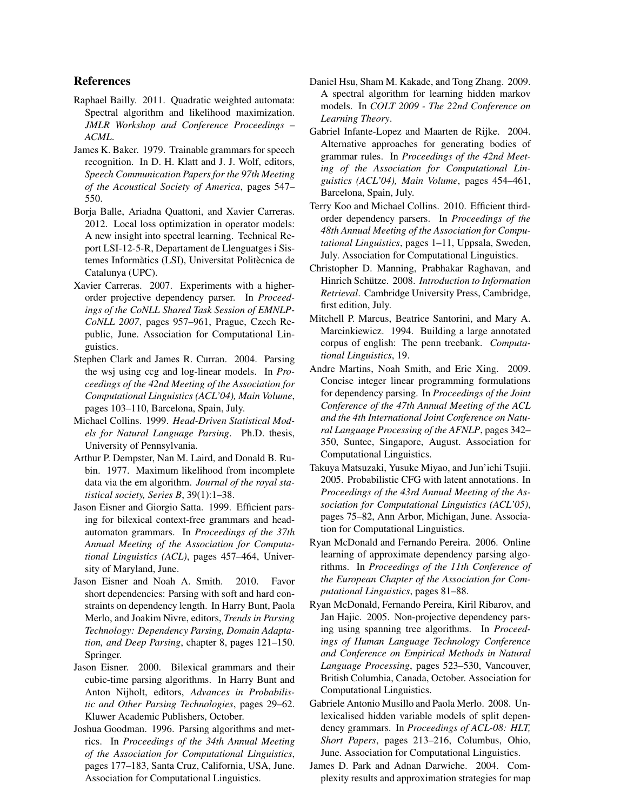## References

- Raphael Bailly. 2011. Quadratic weighted automata: Spectral algorithm and likelihood maximization. *JMLR Workshop and Conference Proceedings – ACML*.
- James K. Baker. 1979. Trainable grammars for speech recognition. In D. H. Klatt and J. J. Wolf, editors, *Speech Communication Papers for the 97th Meeting of the Acoustical Society of America*, pages 547– 550.
- Borja Balle, Ariadna Quattoni, and Xavier Carreras. 2012. Local loss optimization in operator models: A new insight into spectral learning. Technical Report LSI-12-5-R, Departament de Llenguatges i Sistemes Informàtics (LSI), Universitat Politècnica de Catalunya (UPC).
- Xavier Carreras. 2007. Experiments with a higherorder projective dependency parser. In *Proceedings of the CoNLL Shared Task Session of EMNLP-CoNLL 2007*, pages 957–961, Prague, Czech Republic, June. Association for Computational Linguistics.
- Stephen Clark and James R. Curran. 2004. Parsing the wsj using ccg and log-linear models. In *Proceedings of the 42nd Meeting of the Association for Computational Linguistics (ACL'04), Main Volume*, pages 103–110, Barcelona, Spain, July.
- Michael Collins. 1999. *Head-Driven Statistical Models for Natural Language Parsing*. Ph.D. thesis, University of Pennsylvania.
- Arthur P. Dempster, Nan M. Laird, and Donald B. Rubin. 1977. Maximum likelihood from incomplete data via the em algorithm. *Journal of the royal statistical society, Series B*, 39(1):1–38.
- Jason Eisner and Giorgio Satta. 1999. Efficient parsing for bilexical context-free grammars and headautomaton grammars. In *Proceedings of the 37th Annual Meeting of the Association for Computational Linguistics (ACL)*, pages 457–464, University of Maryland, June.
- Jason Eisner and Noah A. Smith. 2010. Favor short dependencies: Parsing with soft and hard constraints on dependency length. In Harry Bunt, Paola Merlo, and Joakim Nivre, editors, *Trends in Parsing Technology: Dependency Parsing, Domain Adaptation, and Deep Parsing*, chapter 8, pages 121–150. Springer.
- Jason Eisner. 2000. Bilexical grammars and their cubic-time parsing algorithms. In Harry Bunt and Anton Nijholt, editors, *Advances in Probabilistic and Other Parsing Technologies*, pages 29–62. Kluwer Academic Publishers, October.
- Joshua Goodman. 1996. Parsing algorithms and metrics. In *Proceedings of the 34th Annual Meeting of the Association for Computational Linguistics*, pages 177–183, Santa Cruz, California, USA, June. Association for Computational Linguistics.
- Daniel Hsu, Sham M. Kakade, and Tong Zhang. 2009. A spectral algorithm for learning hidden markov models. In *COLT 2009 - The 22nd Conference on Learning Theory*.
- Gabriel Infante-Lopez and Maarten de Rijke. 2004. Alternative approaches for generating bodies of grammar rules. In *Proceedings of the 42nd Meeting of the Association for Computational Linguistics (ACL'04), Main Volume*, pages 454–461, Barcelona, Spain, July.
- Terry Koo and Michael Collins. 2010. Efficient thirdorder dependency parsers. In *Proceedings of the 48th Annual Meeting of the Association for Computational Linguistics*, pages 1–11, Uppsala, Sweden, July. Association for Computational Linguistics.
- Christopher D. Manning, Prabhakar Raghavan, and Hinrich Schütze. 2008. Introduction to Information *Retrieval*. Cambridge University Press, Cambridge, first edition, July.
- Mitchell P. Marcus, Beatrice Santorini, and Mary A. Marcinkiewicz. 1994. Building a large annotated corpus of english: The penn treebank. *Computational Linguistics*, 19.
- Andre Martins, Noah Smith, and Eric Xing. 2009. Concise integer linear programming formulations for dependency parsing. In *Proceedings of the Joint Conference of the 47th Annual Meeting of the ACL and the 4th International Joint Conference on Natural Language Processing of the AFNLP*, pages 342– 350, Suntec, Singapore, August. Association for Computational Linguistics.
- Takuya Matsuzaki, Yusuke Miyao, and Jun'ichi Tsujii. 2005. Probabilistic CFG with latent annotations. In *Proceedings of the 43rd Annual Meeting of the Association for Computational Linguistics (ACL'05)*, pages 75–82, Ann Arbor, Michigan, June. Association for Computational Linguistics.
- Ryan McDonald and Fernando Pereira. 2006. Online learning of approximate dependency parsing algorithms. In *Proceedings of the 11th Conference of the European Chapter of the Association for Computational Linguistics*, pages 81–88.
- Ryan McDonald, Fernando Pereira, Kiril Ribarov, and Jan Hajic. 2005. Non-projective dependency parsing using spanning tree algorithms. In *Proceedings of Human Language Technology Conference and Conference on Empirical Methods in Natural Language Processing*, pages 523–530, Vancouver, British Columbia, Canada, October. Association for Computational Linguistics.
- Gabriele Antonio Musillo and Paola Merlo. 2008. Unlexicalised hidden variable models of split dependency grammars. In *Proceedings of ACL-08: HLT, Short Papers*, pages 213–216, Columbus, Ohio, June. Association for Computational Linguistics.
- James D. Park and Adnan Darwiche. 2004. Complexity results and approximation strategies for map